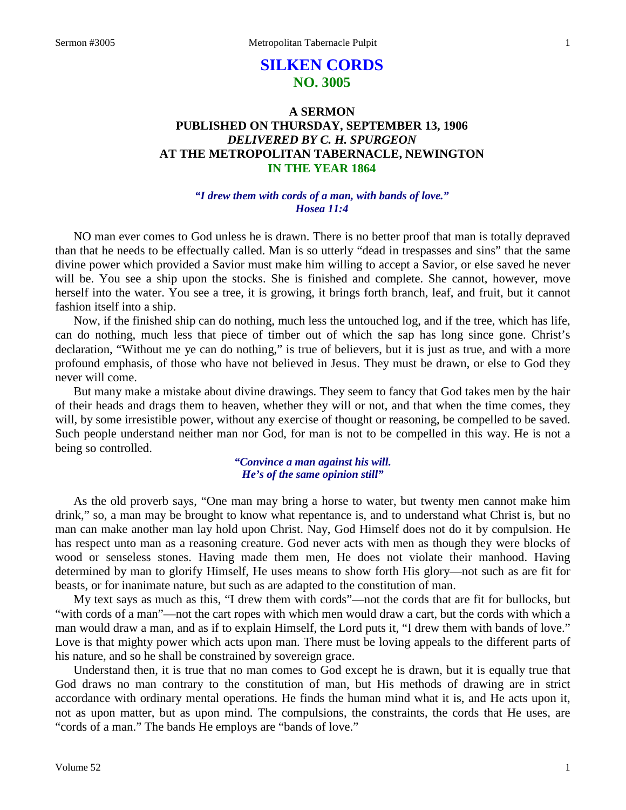# **SILKEN CORDS NO. 3005**

# **A SERMON PUBLISHED ON THURSDAY, SEPTEMBER 13, 1906** *DELIVERED BY C. H. SPURGEON* **AT THE METROPOLITAN TABERNACLE, NEWINGTON IN THE YEAR 1864**

### *"I drew them with cords of a man, with bands of love." Hosea 11:4*

NO man ever comes to God unless he is drawn. There is no better proof that man is totally depraved than that he needs to be effectually called. Man is so utterly "dead in trespasses and sins" that the same divine power which provided a Savior must make him willing to accept a Savior, or else saved he never will be. You see a ship upon the stocks. She is finished and complete. She cannot, however, move herself into the water. You see a tree, it is growing, it brings forth branch, leaf, and fruit, but it cannot fashion itself into a ship.

Now, if the finished ship can do nothing, much less the untouched log, and if the tree, which has life, can do nothing, much less that piece of timber out of which the sap has long since gone. Christ's declaration, "Without me ye can do nothing," is true of believers, but it is just as true, and with a more profound emphasis, of those who have not believed in Jesus. They must be drawn, or else to God they never will come.

But many make a mistake about divine drawings. They seem to fancy that God takes men by the hair of their heads and drags them to heaven, whether they will or not, and that when the time comes, they will, by some irresistible power, without any exercise of thought or reasoning, be compelled to be saved. Such people understand neither man nor God, for man is not to be compelled in this way. He is not a being so controlled.

## *"Convince a man against his will. He's of the same opinion still"*

As the old proverb says, "One man may bring a horse to water, but twenty men cannot make him drink," so, a man may be brought to know what repentance is, and to understand what Christ is, but no man can make another man lay hold upon Christ. Nay, God Himself does not do it by compulsion. He has respect unto man as a reasoning creature. God never acts with men as though they were blocks of wood or senseless stones. Having made them men, He does not violate their manhood. Having determined by man to glorify Himself, He uses means to show forth His glory—not such as are fit for beasts, or for inanimate nature, but such as are adapted to the constitution of man.

My text says as much as this, "I drew them with cords"—not the cords that are fit for bullocks, but "with cords of a man"—not the cart ropes with which men would draw a cart, but the cords with which a man would draw a man, and as if to explain Himself, the Lord puts it, "I drew them with bands of love." Love is that mighty power which acts upon man. There must be loving appeals to the different parts of his nature, and so he shall be constrained by sovereign grace.

Understand then, it is true that no man comes to God except he is drawn, but it is equally true that God draws no man contrary to the constitution of man, but His methods of drawing are in strict accordance with ordinary mental operations. He finds the human mind what it is, and He acts upon it, not as upon matter, but as upon mind. The compulsions, the constraints, the cords that He uses, are "cords of a man." The bands He employs are "bands of love."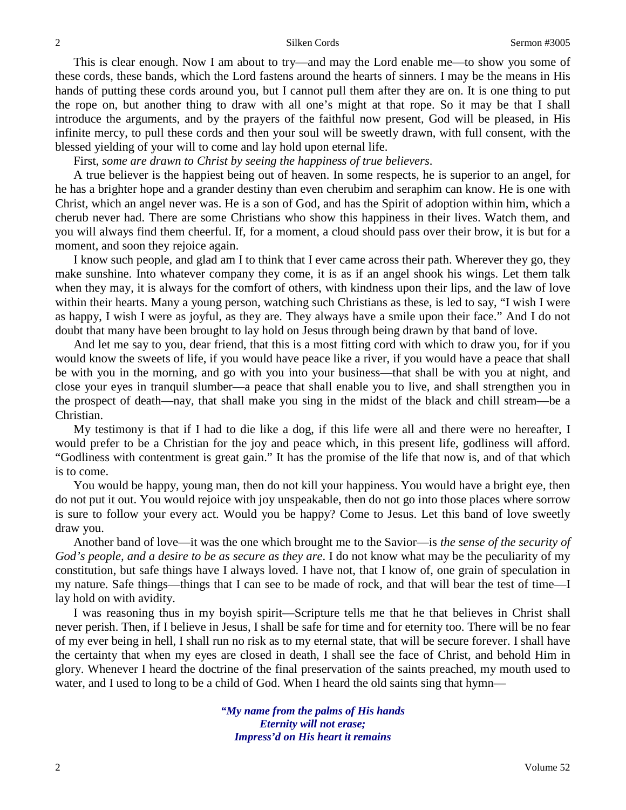This is clear enough. Now I am about to try—and may the Lord enable me—to show you some of these cords, these bands, which the Lord fastens around the hearts of sinners. I may be the means in His hands of putting these cords around you, but I cannot pull them after they are on. It is one thing to put the rope on, but another thing to draw with all one's might at that rope. So it may be that I shall introduce the arguments, and by the prayers of the faithful now present, God will be pleased, in His infinite mercy, to pull these cords and then your soul will be sweetly drawn, with full consent, with the blessed yielding of your will to come and lay hold upon eternal life.

First, *some are drawn to Christ by seeing the happiness of true believers*.

A true believer is the happiest being out of heaven. In some respects, he is superior to an angel, for he has a brighter hope and a grander destiny than even cherubim and seraphim can know. He is one with Christ, which an angel never was. He is a son of God, and has the Spirit of adoption within him, which a cherub never had. There are some Christians who show this happiness in their lives. Watch them, and you will always find them cheerful. If, for a moment, a cloud should pass over their brow, it is but for a moment, and soon they rejoice again.

I know such people, and glad am I to think that I ever came across their path. Wherever they go, they make sunshine. Into whatever company they come, it is as if an angel shook his wings. Let them talk when they may, it is always for the comfort of others, with kindness upon their lips, and the law of love within their hearts. Many a young person, watching such Christians as these, is led to say, "I wish I were as happy, I wish I were as joyful, as they are. They always have a smile upon their face." And I do not doubt that many have been brought to lay hold on Jesus through being drawn by that band of love.

And let me say to you, dear friend, that this is a most fitting cord with which to draw you, for if you would know the sweets of life, if you would have peace like a river, if you would have a peace that shall be with you in the morning, and go with you into your business—that shall be with you at night, and close your eyes in tranquil slumber—a peace that shall enable you to live, and shall strengthen you in the prospect of death—nay, that shall make you sing in the midst of the black and chill stream—be a Christian.

My testimony is that if I had to die like a dog, if this life were all and there were no hereafter, I would prefer to be a Christian for the joy and peace which, in this present life, godliness will afford. "Godliness with contentment is great gain." It has the promise of the life that now is, and of that which is to come.

You would be happy, young man, then do not kill your happiness. You would have a bright eye, then do not put it out. You would rejoice with joy unspeakable, then do not go into those places where sorrow is sure to follow your every act. Would you be happy? Come to Jesus. Let this band of love sweetly draw you.

Another band of love—it was the one which brought me to the Savior—is *the sense of the security of God's people, and a desire to be as secure as they are*. I do not know what may be the peculiarity of my constitution, but safe things have I always loved. I have not, that I know of, one grain of speculation in my nature. Safe things—things that I can see to be made of rock, and that will bear the test of time—I lay hold on with avidity.

I was reasoning thus in my boyish spirit—Scripture tells me that he that believes in Christ shall never perish. Then, if I believe in Jesus, I shall be safe for time and for eternity too. There will be no fear of my ever being in hell, I shall run no risk as to my eternal state, that will be secure forever. I shall have the certainty that when my eyes are closed in death, I shall see the face of Christ, and behold Him in glory. Whenever I heard the doctrine of the final preservation of the saints preached, my mouth used to water, and I used to long to be a child of God. When I heard the old saints sing that hymn—

> *"My name from the palms of His hands Eternity will not erase; Impress'd on His heart it remains*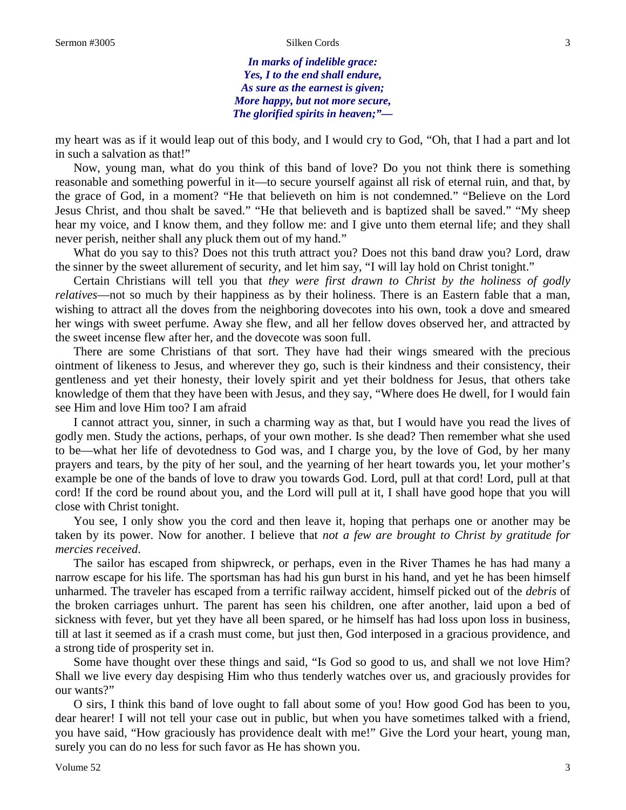*In marks of indelible grace: Yes, I to the end shall endure, As sure as the earnest is given; More happy, but not more secure, The glorified spirits in heaven;"—*

my heart was as if it would leap out of this body, and I would cry to God, "Oh, that I had a part and lot in such a salvation as that!"

Now, young man, what do you think of this band of love? Do you not think there is something reasonable and something powerful in it—to secure yourself against all risk of eternal ruin, and that, by the grace of God, in a moment? "He that believeth on him is not condemned." "Believe on the Lord Jesus Christ, and thou shalt be saved." "He that believeth and is baptized shall be saved." "My sheep hear my voice, and I know them, and they follow me: and I give unto them eternal life; and they shall never perish, neither shall any pluck them out of my hand."

What do you say to this? Does not this truth attract you? Does not this band draw you? Lord, draw the sinner by the sweet allurement of security, and let him say, "I will lay hold on Christ tonight."

Certain Christians will tell you that *they were first drawn to Christ by the holiness of godly relatives*—not so much by their happiness as by their holiness. There is an Eastern fable that a man, wishing to attract all the doves from the neighboring dovecotes into his own, took a dove and smeared her wings with sweet perfume. Away she flew, and all her fellow doves observed her, and attracted by the sweet incense flew after her, and the dovecote was soon full.

There are some Christians of that sort. They have had their wings smeared with the precious ointment of likeness to Jesus, and wherever they go, such is their kindness and their consistency, their gentleness and yet their honesty, their lovely spirit and yet their boldness for Jesus, that others take knowledge of them that they have been with Jesus, and they say, "Where does He dwell, for I would fain see Him and love Him too? I am afraid

I cannot attract you, sinner, in such a charming way as that, but I would have you read the lives of godly men. Study the actions, perhaps, of your own mother. Is she dead? Then remember what she used to be—what her life of devotedness to God was, and I charge you, by the love of God, by her many prayers and tears, by the pity of her soul, and the yearning of her heart towards you, let your mother's example be one of the bands of love to draw you towards God. Lord, pull at that cord! Lord, pull at that cord! If the cord be round about you, and the Lord will pull at it, I shall have good hope that you will close with Christ tonight.

You see, I only show you the cord and then leave it, hoping that perhaps one or another may be taken by its power. Now for another. I believe that *not a few are brought to Christ by gratitude for mercies received*.

The sailor has escaped from shipwreck, or perhaps, even in the River Thames he has had many a narrow escape for his life. The sportsman has had his gun burst in his hand, and yet he has been himself unharmed. The traveler has escaped from a terrific railway accident, himself picked out of the *debris* of the broken carriages unhurt. The parent has seen his children, one after another, laid upon a bed of sickness with fever, but yet they have all been spared, or he himself has had loss upon loss in business, till at last it seemed as if a crash must come, but just then, God interposed in a gracious providence, and a strong tide of prosperity set in.

Some have thought over these things and said, "Is God so good to us, and shall we not love Him? Shall we live every day despising Him who thus tenderly watches over us, and graciously provides for our wants?"

O sirs, I think this band of love ought to fall about some of you! How good God has been to you, dear hearer! I will not tell your case out in public, but when you have sometimes talked with a friend, you have said, "How graciously has providence dealt with me!" Give the Lord your heart, young man, surely you can do no less for such favor as He has shown you.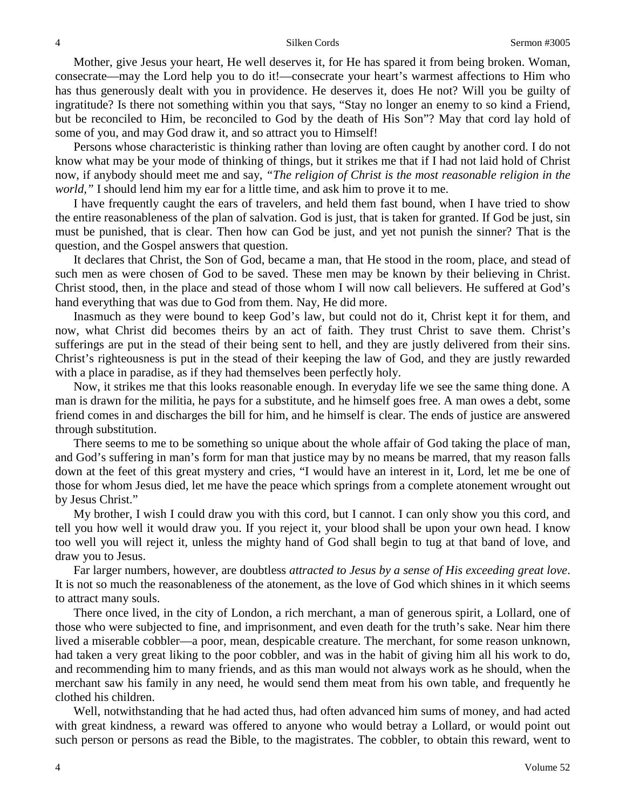Mother, give Jesus your heart, He well deserves it, for He has spared it from being broken. Woman, consecrate—may the Lord help you to do it!—consecrate your heart's warmest affections to Him who has thus generously dealt with you in providence. He deserves it, does He not? Will you be guilty of ingratitude? Is there not something within you that says, "Stay no longer an enemy to so kind a Friend, but be reconciled to Him, be reconciled to God by the death of His Son"? May that cord lay hold of some of you, and may God draw it, and so attract you to Himself!

Persons whose characteristic is thinking rather than loving are often caught by another cord. I do not know what may be your mode of thinking of things, but it strikes me that if I had not laid hold of Christ now, if anybody should meet me and say, *"The religion of Christ is the most reasonable religion in the world,"* I should lend him my ear for a little time, and ask him to prove it to me.

I have frequently caught the ears of travelers, and held them fast bound, when I have tried to show the entire reasonableness of the plan of salvation. God is just, that is taken for granted. If God be just, sin must be punished, that is clear. Then how can God be just, and yet not punish the sinner? That is the question, and the Gospel answers that question.

It declares that Christ, the Son of God, became a man, that He stood in the room, place, and stead of such men as were chosen of God to be saved. These men may be known by their believing in Christ. Christ stood, then, in the place and stead of those whom I will now call believers. He suffered at God's hand everything that was due to God from them. Nay, He did more.

Inasmuch as they were bound to keep God's law, but could not do it, Christ kept it for them, and now, what Christ did becomes theirs by an act of faith. They trust Christ to save them. Christ's sufferings are put in the stead of their being sent to hell, and they are justly delivered from their sins. Christ's righteousness is put in the stead of their keeping the law of God, and they are justly rewarded with a place in paradise, as if they had themselves been perfectly holy.

Now, it strikes me that this looks reasonable enough. In everyday life we see the same thing done. A man is drawn for the militia, he pays for a substitute, and he himself goes free. A man owes a debt, some friend comes in and discharges the bill for him, and he himself is clear. The ends of justice are answered through substitution.

There seems to me to be something so unique about the whole affair of God taking the place of man, and God's suffering in man's form for man that justice may by no means be marred, that my reason falls down at the feet of this great mystery and cries, "I would have an interest in it, Lord, let me be one of those for whom Jesus died, let me have the peace which springs from a complete atonement wrought out by Jesus Christ."

My brother, I wish I could draw you with this cord, but I cannot. I can only show you this cord, and tell you how well it would draw you. If you reject it, your blood shall be upon your own head. I know too well you will reject it, unless the mighty hand of God shall begin to tug at that band of love, and draw you to Jesus.

Far larger numbers, however, are doubtless *attracted to Jesus by a sense of His exceeding great love*. It is not so much the reasonableness of the atonement, as the love of God which shines in it which seems to attract many souls.

There once lived, in the city of London, a rich merchant, a man of generous spirit, a Lollard, one of those who were subjected to fine, and imprisonment, and even death for the truth's sake. Near him there lived a miserable cobbler—a poor, mean, despicable creature. The merchant, for some reason unknown, had taken a very great liking to the poor cobbler, and was in the habit of giving him all his work to do, and recommending him to many friends, and as this man would not always work as he should, when the merchant saw his family in any need, he would send them meat from his own table, and frequently he clothed his children.

Well, notwithstanding that he had acted thus, had often advanced him sums of money, and had acted with great kindness, a reward was offered to anyone who would betray a Lollard, or would point out such person or persons as read the Bible, to the magistrates. The cobbler, to obtain this reward, went to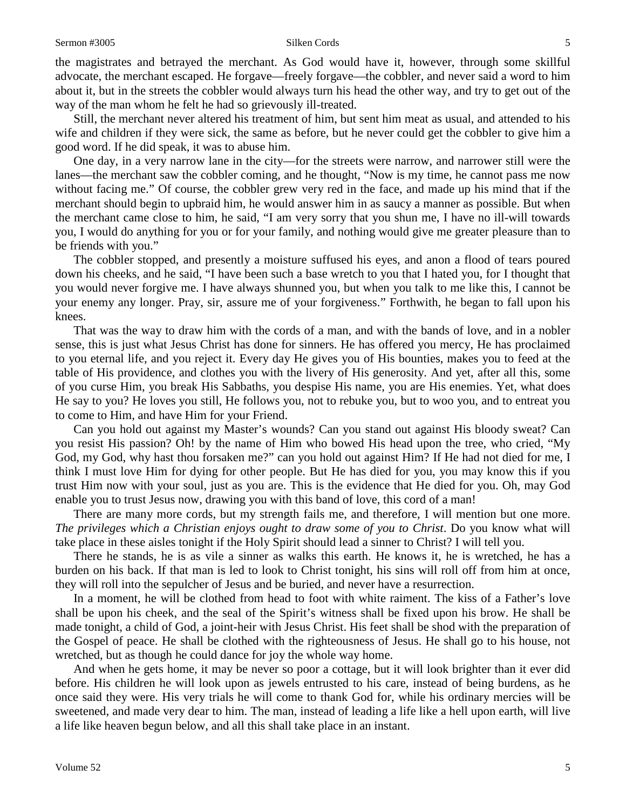### Sermon #3005 Silken Cords 5

the magistrates and betrayed the merchant. As God would have it, however, through some skillful advocate, the merchant escaped. He forgave—freely forgave—the cobbler, and never said a word to him about it, but in the streets the cobbler would always turn his head the other way, and try to get out of the way of the man whom he felt he had so grievously ill-treated.

Still, the merchant never altered his treatment of him, but sent him meat as usual, and attended to his wife and children if they were sick, the same as before, but he never could get the cobbler to give him a good word. If he did speak, it was to abuse him.

One day, in a very narrow lane in the city—for the streets were narrow, and narrower still were the lanes—the merchant saw the cobbler coming, and he thought, "Now is my time, he cannot pass me now without facing me." Of course, the cobbler grew very red in the face, and made up his mind that if the merchant should begin to upbraid him, he would answer him in as saucy a manner as possible. But when the merchant came close to him, he said, "I am very sorry that you shun me, I have no ill-will towards you, I would do anything for you or for your family, and nothing would give me greater pleasure than to be friends with you."

The cobbler stopped, and presently a moisture suffused his eyes, and anon a flood of tears poured down his cheeks, and he said, "I have been such a base wretch to you that I hated you, for I thought that you would never forgive me. I have always shunned you, but when you talk to me like this, I cannot be your enemy any longer. Pray, sir, assure me of your forgiveness." Forthwith, he began to fall upon his knees.

That was the way to draw him with the cords of a man, and with the bands of love, and in a nobler sense, this is just what Jesus Christ has done for sinners. He has offered you mercy, He has proclaimed to you eternal life, and you reject it. Every day He gives you of His bounties, makes you to feed at the table of His providence, and clothes you with the livery of His generosity. And yet, after all this, some of you curse Him, you break His Sabbaths, you despise His name, you are His enemies. Yet, what does He say to you? He loves you still, He follows you, not to rebuke you, but to woo you, and to entreat you to come to Him, and have Him for your Friend.

Can you hold out against my Master's wounds? Can you stand out against His bloody sweat? Can you resist His passion? Oh! by the name of Him who bowed His head upon the tree, who cried, "My God, my God, why hast thou forsaken me?" can you hold out against Him? If He had not died for me, I think I must love Him for dying for other people. But He has died for you, you may know this if you trust Him now with your soul, just as you are. This is the evidence that He died for you. Oh, may God enable you to trust Jesus now, drawing you with this band of love, this cord of a man!

There are many more cords, but my strength fails me, and therefore, I will mention but one more. *The privileges which a Christian enjoys ought to draw some of you to Christ*. Do you know what will take place in these aisles tonight if the Holy Spirit should lead a sinner to Christ? I will tell you.

There he stands, he is as vile a sinner as walks this earth. He knows it, he is wretched, he has a burden on his back. If that man is led to look to Christ tonight, his sins will roll off from him at once, they will roll into the sepulcher of Jesus and be buried, and never have a resurrection.

In a moment, he will be clothed from head to foot with white raiment. The kiss of a Father's love shall be upon his cheek, and the seal of the Spirit's witness shall be fixed upon his brow. He shall be made tonight, a child of God, a joint-heir with Jesus Christ. His feet shall be shod with the preparation of the Gospel of peace. He shall be clothed with the righteousness of Jesus. He shall go to his house, not wretched, but as though he could dance for joy the whole way home.

And when he gets home, it may be never so poor a cottage, but it will look brighter than it ever did before. His children he will look upon as jewels entrusted to his care, instead of being burdens, as he once said they were. His very trials he will come to thank God for, while his ordinary mercies will be sweetened, and made very dear to him. The man, instead of leading a life like a hell upon earth, will live a life like heaven begun below, and all this shall take place in an instant.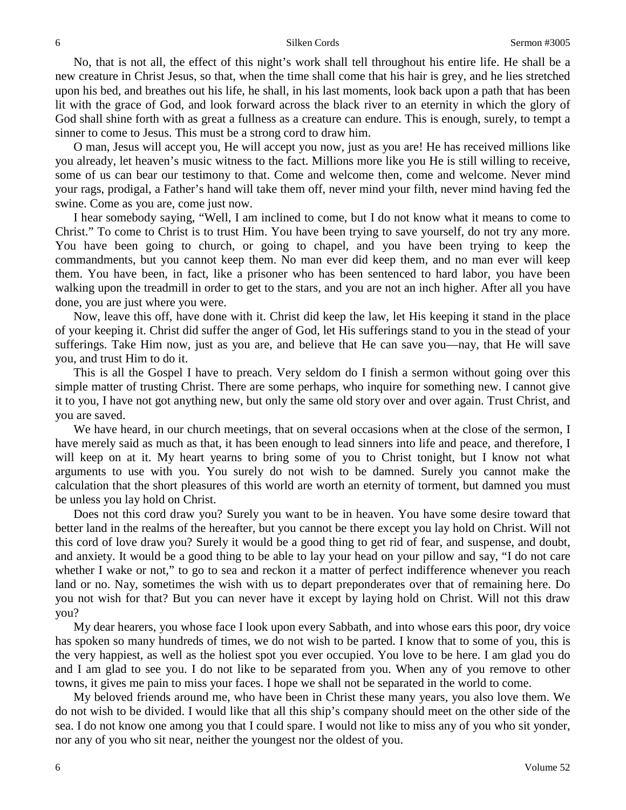No, that is not all, the effect of this night's work shall tell throughout his entire life. He shall be a new creature in Christ Jesus, so that, when the time shall come that his hair is grey, and he lies stretched upon his bed, and breathes out his life, he shall, in his last moments, look back upon a path that has been lit with the grace of God, and look forward across the black river to an eternity in which the glory of God shall shine forth with as great a fullness as a creature can endure. This is enough, surely, to tempt a sinner to come to Jesus. This must be a strong cord to draw him.

O man, Jesus will accept you, He will accept you now, just as you are! He has received millions like you already, let heaven's music witness to the fact. Millions more like you He is still willing to receive, some of us can bear our testimony to that. Come and welcome then, come and welcome. Never mind your rags, prodigal, a Father's hand will take them off, never mind your filth, never mind having fed the swine. Come as you are, come just now.

I hear somebody saying, "Well, I am inclined to come, but I do not know what it means to come to Christ." To come to Christ is to trust Him. You have been trying to save yourself, do not try any more. You have been going to church, or going to chapel, and you have been trying to keep the commandments, but you cannot keep them. No man ever did keep them, and no man ever will keep them. You have been, in fact, like a prisoner who has been sentenced to hard labor, you have been walking upon the treadmill in order to get to the stars, and you are not an inch higher. After all you have done, you are just where you were.

Now, leave this off, have done with it. Christ did keep the law, let His keeping it stand in the place of your keeping it. Christ did suffer the anger of God, let His sufferings stand to you in the stead of your sufferings. Take Him now, just as you are, and believe that He can save you—nay, that He will save you, and trust Him to do it.

This is all the Gospel I have to preach. Very seldom do I finish a sermon without going over this simple matter of trusting Christ. There are some perhaps, who inquire for something new. I cannot give it to you, I have not got anything new, but only the same old story over and over again. Trust Christ, and you are saved.

We have heard, in our church meetings, that on several occasions when at the close of the sermon, I have merely said as much as that, it has been enough to lead sinners into life and peace, and therefore, I will keep on at it. My heart yearns to bring some of you to Christ tonight, but I know not what arguments to use with you. You surely do not wish to be damned. Surely you cannot make the calculation that the short pleasures of this world are worth an eternity of torment, but damned you must be unless you lay hold on Christ.

Does not this cord draw you? Surely you want to be in heaven. You have some desire toward that better land in the realms of the hereafter, but you cannot be there except you lay hold on Christ. Will not this cord of love draw you? Surely it would be a good thing to get rid of fear, and suspense, and doubt, and anxiety. It would be a good thing to be able to lay your head on your pillow and say, "I do not care whether I wake or not," to go to sea and reckon it a matter of perfect indifference whenever you reach land or no. Nay, sometimes the wish with us to depart preponderates over that of remaining here. Do you not wish for that? But you can never have it except by laying hold on Christ. Will not this draw you?

My dear hearers, you whose face I look upon every Sabbath, and into whose ears this poor, dry voice has spoken so many hundreds of times, we do not wish to be parted. I know that to some of you, this is the very happiest, as well as the holiest spot you ever occupied. You love to be here. I am glad you do and I am glad to see you. I do not like to be separated from you. When any of you remove to other towns, it gives me pain to miss your faces. I hope we shall not be separated in the world to come.

My beloved friends around me, who have been in Christ these many years, you also love them. We do not wish to be divided. I would like that all this ship's company should meet on the other side of the sea. I do not know one among you that I could spare. I would not like to miss any of you who sit yonder, nor any of you who sit near, neither the youngest nor the oldest of you.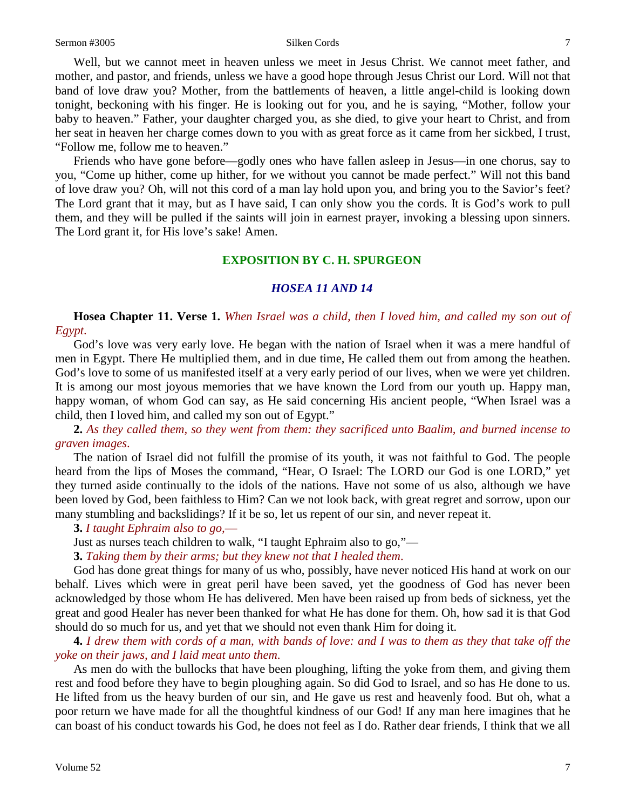Well, but we cannot meet in heaven unless we meet in Jesus Christ. We cannot meet father, and mother, and pastor, and friends, unless we have a good hope through Jesus Christ our Lord. Will not that band of love draw you? Mother, from the battlements of heaven, a little angel-child is looking down tonight, beckoning with his finger. He is looking out for you, and he is saying, "Mother, follow your baby to heaven." Father, your daughter charged you, as she died, to give your heart to Christ, and from her seat in heaven her charge comes down to you with as great force as it came from her sickbed, I trust, "Follow me, follow me to heaven."

Friends who have gone before—godly ones who have fallen asleep in Jesus—in one chorus, say to you, "Come up hither, come up hither, for we without you cannot be made perfect." Will not this band of love draw you? Oh, will not this cord of a man lay hold upon you, and bring you to the Savior's feet? The Lord grant that it may, but as I have said, I can only show you the cords. It is God's work to pull them, and they will be pulled if the saints will join in earnest prayer, invoking a blessing upon sinners. The Lord grant it, for His love's sake! Amen.

### **EXPOSITION BY C. H. SPURGEON**

# *HOSEA 11 AND 14*

**Hosea Chapter 11. Verse 1.** *When Israel was a child, then I loved him, and called my son out of Egypt*.

God's love was very early love. He began with the nation of Israel when it was a mere handful of men in Egypt. There He multiplied them, and in due time, He called them out from among the heathen. God's love to some of us manifested itself at a very early period of our lives, when we were yet children. It is among our most joyous memories that we have known the Lord from our youth up. Happy man, happy woman, of whom God can say, as He said concerning His ancient people, "When Israel was a child, then I loved him, and called my son out of Egypt."

**2.** *As they called them, so they went from them: they sacrificed unto Baalim, and burned incense to graven images*.

The nation of Israel did not fulfill the promise of its youth, it was not faithful to God. The people heard from the lips of Moses the command, "Hear, O Israel: The LORD our God is one LORD," yet they turned aside continually to the idols of the nations. Have not some of us also, although we have been loved by God, been faithless to Him? Can we not look back, with great regret and sorrow, upon our many stumbling and backslidings? If it be so, let us repent of our sin, and never repeat it.

**3.** *I taught Ephraim also to go,*—

Just as nurses teach children to walk, "I taught Ephraim also to go,"—

**3.** *Taking them by their arms; but they knew not that I healed them*.

God has done great things for many of us who, possibly, have never noticed His hand at work on our behalf. Lives which were in great peril have been saved, yet the goodness of God has never been acknowledged by those whom He has delivered. Men have been raised up from beds of sickness, yet the great and good Healer has never been thanked for what He has done for them. Oh, how sad it is that God should do so much for us, and yet that we should not even thank Him for doing it.

**4.** *I drew them with cords of a man, with bands of love: and I was to them as they that take off the yoke on their jaws, and I laid meat unto them*.

As men do with the bullocks that have been ploughing, lifting the yoke from them, and giving them rest and food before they have to begin ploughing again. So did God to Israel, and so has He done to us. He lifted from us the heavy burden of our sin, and He gave us rest and heavenly food. But oh, what a poor return we have made for all the thoughtful kindness of our God! If any man here imagines that he can boast of his conduct towards his God, he does not feel as I do. Rather dear friends, I think that we all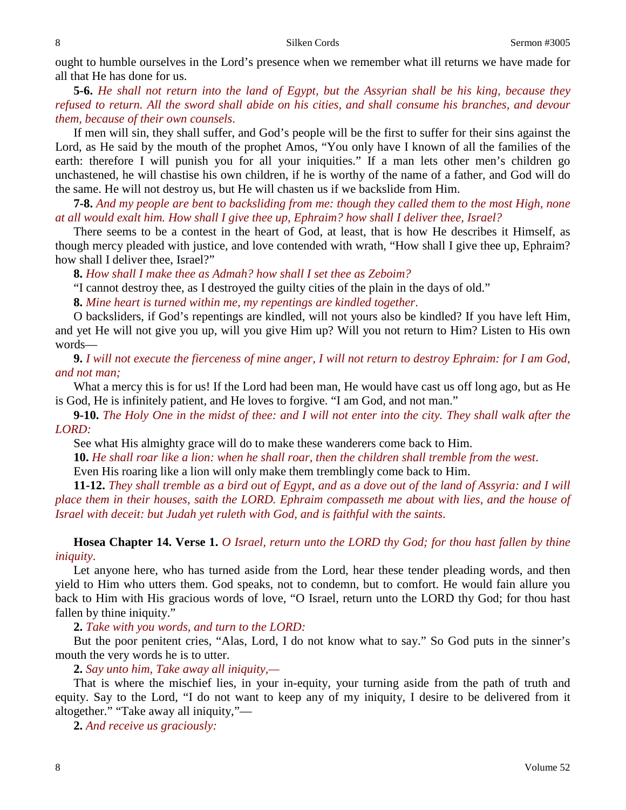ought to humble ourselves in the Lord's presence when we remember what ill returns we have made for all that He has done for us.

**5-6.** *He shall not return into the land of Egypt, but the Assyrian shall be his king, because they refused to return. All the sword shall abide on his cities, and shall consume his branches, and devour them, because of their own counsels*.

If men will sin, they shall suffer, and God's people will be the first to suffer for their sins against the Lord, as He said by the mouth of the prophet Amos, "You only have I known of all the families of the earth: therefore I will punish you for all your iniquities." If a man lets other men's children go unchastened, he will chastise his own children, if he is worthy of the name of a father, and God will do the same. He will not destroy us, but He will chasten us if we backslide from Him.

**7-8.** *And my people are bent to backsliding from me: though they called them to the most High, none at all would exalt him. How shall I give thee up, Ephraim? how shall I deliver thee, Israel?*

There seems to be a contest in the heart of God, at least, that is how He describes it Himself, as though mercy pleaded with justice, and love contended with wrath, "How shall I give thee up, Ephraim? how shall I deliver thee, Israel?"

**8.** *How shall I make thee as Admah? how shall I set thee as Zeboim?*

"I cannot destroy thee, as I destroyed the guilty cities of the plain in the days of old."

**8.** *Mine heart is turned within me, my repentings are kindled together*.

O backsliders, if God's repentings are kindled, will not yours also be kindled? If you have left Him, and yet He will not give you up, will you give Him up? Will you not return to Him? Listen to His own words—

**9.** *I will not execute the fierceness of mine anger, I will not return to destroy Ephraim: for I am God, and not man;*

What a mercy this is for us! If the Lord had been man, He would have cast us off long ago, but as He is God, He is infinitely patient, and He loves to forgive. "I am God, and not man."

**9-10.** *The Holy One in the midst of thee: and I will not enter into the city. They shall walk after the LORD:*

See what His almighty grace will do to make these wanderers come back to Him.

**10.** *He shall roar like a lion: when he shall roar, then the children shall tremble from the west*.

Even His roaring like a lion will only make them tremblingly come back to Him.

**11-12.** *They shall tremble as a bird out of Egypt, and as a dove out of the land of Assyria: and I will place them in their houses, saith the LORD. Ephraim compasseth me about with lies, and the house of Israel with deceit: but Judah yet ruleth with God, and is faithful with the saints*.

**Hosea Chapter 14. Verse 1.** *O Israel, return unto the LORD thy God; for thou hast fallen by thine iniquity*.

Let anyone here, who has turned aside from the Lord, hear these tender pleading words, and then yield to Him who utters them. God speaks, not to condemn, but to comfort. He would fain allure you back to Him with His gracious words of love, "O Israel, return unto the LORD thy God; for thou hast fallen by thine iniquity."

**2.** *Take with you words, and turn to the LORD:*

But the poor penitent cries, "Alas, Lord, I do not know what to say." So God puts in the sinner's mouth the very words he is to utter.

**2.** *Say unto him, Take away all iniquity,—*

That is where the mischief lies, in your in-equity, your turning aside from the path of truth and equity. Say to the Lord, "I do not want to keep any of my iniquity, I desire to be delivered from it altogether." "Take away all iniquity,"—

**2.** *And receive us graciously:*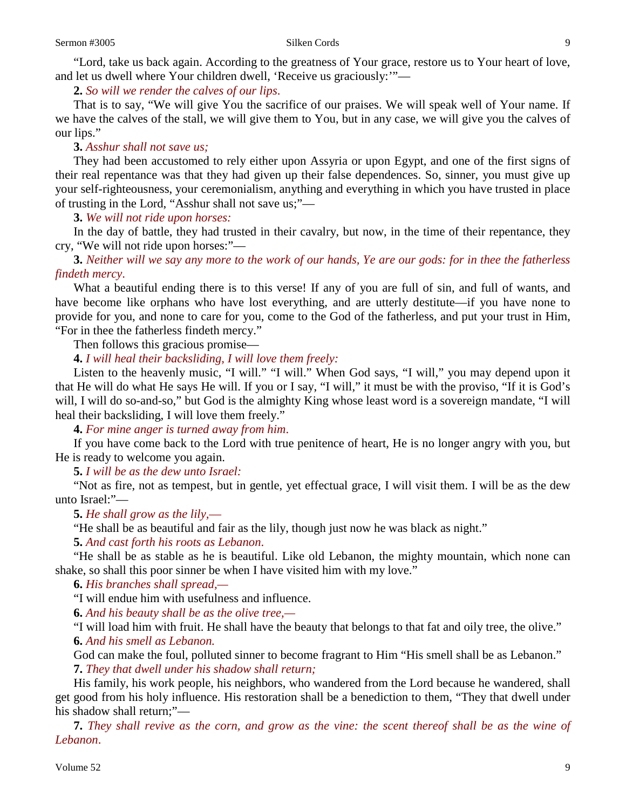"Lord, take us back again. According to the greatness of Your grace, restore us to Your heart of love, and let us dwell where Your children dwell, 'Receive us graciously:'"—

**2.** *So will we render the calves of our lips*.

That is to say, "We will give You the sacrifice of our praises. We will speak well of Your name. If we have the calves of the stall, we will give them to You, but in any case, we will give you the calves of our lips."

# **3.** *Asshur shall not save us;*

They had been accustomed to rely either upon Assyria or upon Egypt, and one of the first signs of their real repentance was that they had given up their false dependences. So, sinner, you must give up your self-righteousness, your ceremonialism, anything and everything in which you have trusted in place of trusting in the Lord, "Asshur shall not save us;"—

**3.** *We will not ride upon horses:*

In the day of battle, they had trusted in their cavalry, but now, in the time of their repentance, they cry, "We will not ride upon horses:"—

**3.** *Neither will we say any more to the work of our hands, Ye are our gods: for in thee the fatherless findeth mercy*.

What a beautiful ending there is to this verse! If any of you are full of sin, and full of wants, and have become like orphans who have lost everything, and are utterly destitute—if you have none to provide for you, and none to care for you, come to the God of the fatherless, and put your trust in Him, "For in thee the fatherless findeth mercy."

Then follows this gracious promise—

**4.** *I will heal their backsliding, I will love them freely:*

Listen to the heavenly music, "I will." "I will." When God says, "I will," you may depend upon it that He will do what He says He will. If you or I say, "I will," it must be with the proviso, "If it is God's will, I will do so-and-so," but God is the almighty King whose least word is a sovereign mandate, "I will heal their backsliding, I will love them freely."

**4.** *For mine anger is turned away from him*.

If you have come back to the Lord with true penitence of heart, He is no longer angry with you, but He is ready to welcome you again.

**5.** *I will be as the dew unto Israel:*

"Not as fire, not as tempest, but in gentle, yet effectual grace, I will visit them. I will be as the dew unto Israel:"—

**5.** *He shall grow as the lily,*—

"He shall be as beautiful and fair as the lily, though just now he was black as night."

**5.** *And cast forth his roots as Lebanon*.

"He shall be as stable as he is beautiful. Like old Lebanon, the mighty mountain, which none can shake, so shall this poor sinner be when I have visited him with my love."

**6.** *His branches shall spread,—*

"I will endue him with usefulness and influence.

**6.** *And his beauty shall be as the olive tree,—*

"I will load him with fruit. He shall have the beauty that belongs to that fat and oily tree, the olive." **6.** *And his smell as Lebanon.*

God can make the foul, polluted sinner to become fragrant to Him "His smell shall be as Lebanon." **7.** *They that dwell under his shadow shall return;*

His family, his work people, his neighbors, who wandered from the Lord because he wandered, shall get good from his holy influence. His restoration shall be a benediction to them, "They that dwell under his shadow shall return;"-

**7.** *They shall revive as the corn, and grow as the vine: the scent thereof shall be as the wine of Lebanon*.